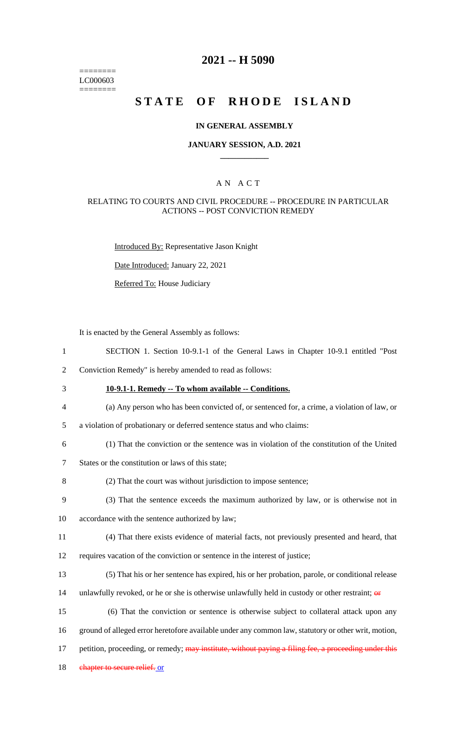======== LC000603 ========

## **2021 -- H 5090**

# **STATE OF RHODE ISLAND**

#### **IN GENERAL ASSEMBLY**

#### **JANUARY SESSION, A.D. 2021 \_\_\_\_\_\_\_\_\_\_\_\_**

### A N A C T

#### RELATING TO COURTS AND CIVIL PROCEDURE -- PROCEDURE IN PARTICULAR ACTIONS -- POST CONVICTION REMEDY

Introduced By: Representative Jason Knight

Date Introduced: January 22, 2021

Referred To: House Judiciary

It is enacted by the General Assembly as follows:

- 1 SECTION 1. Section 10-9.1-1 of the General Laws in Chapter 10-9.1 entitled "Post
- 2 Conviction Remedy" is hereby amended to read as follows:
- 3 **10-9.1-1. Remedy -- To whom available -- Conditions.**
	-
- 
- 5 a violation of probationary or deferred sentence status and who claims:
- 6 (1) That the conviction or the sentence was in violation of the constitution of the United

4 (a) Any person who has been convicted of, or sentenced for, a crime, a violation of law, or

- 7 States or the constitution or laws of this state;
- 8 (2) That the court was without jurisdiction to impose sentence;
- 9 (3) That the sentence exceeds the maximum authorized by law, or is otherwise not in
- 10 accordance with the sentence authorized by law;
- 11 (4) That there exists evidence of material facts, not previously presented and heard, that
- 12 requires vacation of the conviction or sentence in the interest of justice;
- 13 (5) That his or her sentence has expired, his or her probation, parole, or conditional release
- 14 unlawfully revoked, or he or she is otherwise unlawfully held in custody or other restraint;  $\theta$
- 15 (6) That the conviction or sentence is otherwise subject to collateral attack upon any
- 16 ground of alleged error heretofore available under any common law, statutory or other writ, motion,
- 17 petition, proceeding, or remedy; may institute, without paying a filing fee, a proceeding under this
- 18 chapter to secure relief. or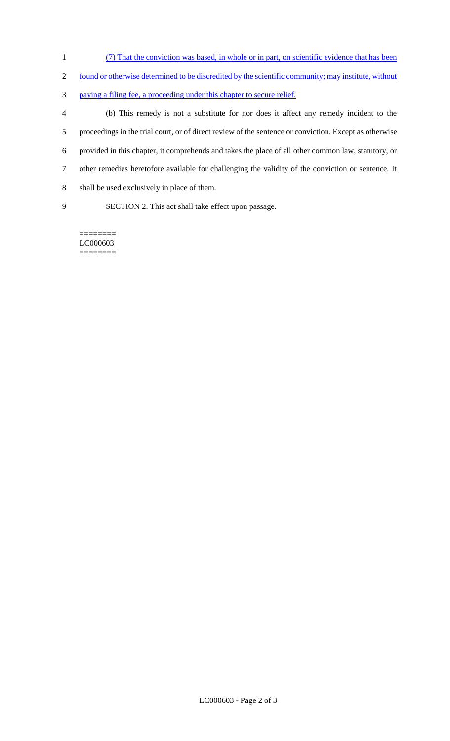- (7) That the conviction was based, in whole or in part, on scientific evidence that has been
- 2 found or otherwise determined to be discredited by the scientific community; may institute, without
- paying a filing fee, a proceeding under this chapter to secure relief.

 (b) This remedy is not a substitute for nor does it affect any remedy incident to the proceedings in the trial court, or of direct review of the sentence or conviction. Except as otherwise provided in this chapter, it comprehends and takes the place of all other common law, statutory, or other remedies heretofore available for challenging the validity of the conviction or sentence. It shall be used exclusively in place of them.

SECTION 2. This act shall take effect upon passage.

LC000603 ========

========